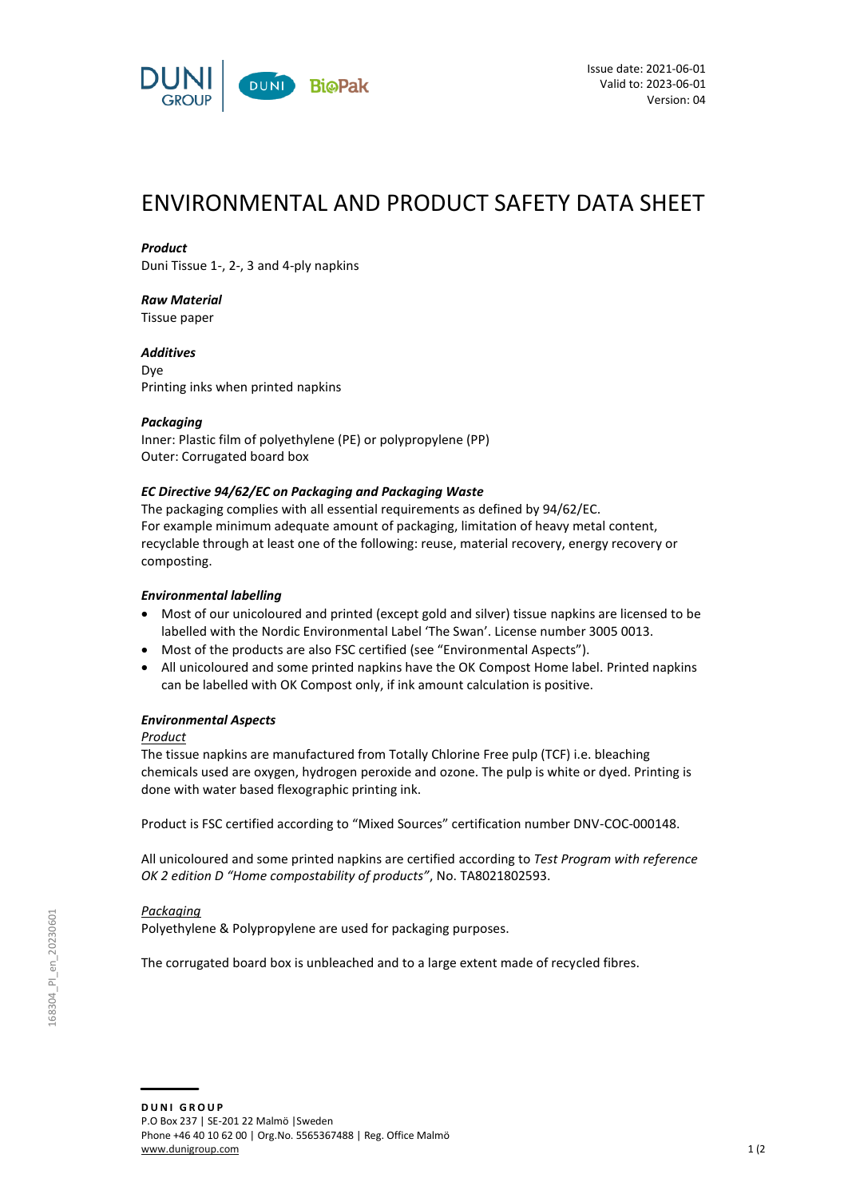

# ENVIRONMENTAL AND PRODUCT SAFETY DATA SHEET

## *Product*

Duni Tissue 1-, 2-, 3 and 4-ply napkins

## *Raw Material*

Tissue paper

*Additives* Dye Printing inks when printed napkins

## *Packaging*

Inner: Plastic film of polyethylene (PE) or polypropylene (PP) Outer: Corrugated board box

## *EC Directive 94/62/EC on Packaging and Packaging Waste*

The packaging complies with all essential requirements as defined by 94/62/EC. For example minimum adequate amount of packaging, limitation of heavy metal content, recyclable through at least one of the following: reuse, material recovery, energy recovery or composting.

## *Environmental labelling*

- Most of our unicoloured and printed (except gold and silver) tissue napkins are licensed to be labelled with the Nordic Environmental Label 'The Swan'. License number 3005 0013.
- Most of the products are also FSC certified (see "Environmental Aspects").
- All unicoloured and some printed napkins have the OK Compost Home label. Printed napkins can be labelled with OK Compost only, if ink amount calculation is positive.

## *Environmental Aspects*

## *Product*

The tissue napkins are manufactured from Totally Chlorine Free pulp (TCF) i.e. bleaching chemicals used are oxygen, hydrogen peroxide and ozone. The pulp is white or dyed. Printing is done with water based flexographic printing ink.

Product is FSC certified according to "Mixed Sources" certification number DNV-COC-000148.

All unicoloured and some printed napkins are certified according to *Test Program with reference OK 2 edition D "Home compostability of products"*, No. TA8021802593.

## *Packaging*

Polyethylene & Polypropylene are used for packaging purposes.

The corrugated board box is unbleached and to a large extent made of recycled fibres.